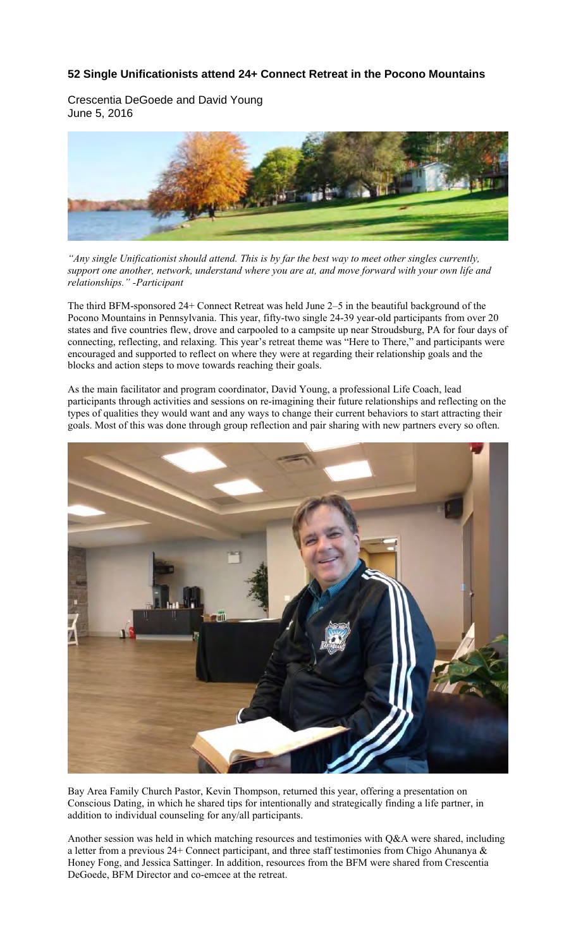## **52 Single Unificationists attend 24+ Connect Retreat in the Pocono Mountains**

Crescentia DeGoede and David Young June 5, 2016



*"Any single Unificationist should attend. This is by far the best way to meet other singles currently, support one another, network, understand where you are at, and move forward with your own life and relationships." -Participant*

The third BFM-sponsored 24+ Connect Retreat was held June 2–5 in the beautiful background of the Pocono Mountains in Pennsylvania. This year, fifty-two single 24-39 year-old participants from over 20 states and five countries flew, drove and carpooled to a campsite up near Stroudsburg, PA for four days of connecting, reflecting, and relaxing. This year's retreat theme was "Here to There," and participants were encouraged and supported to reflect on where they were at regarding their relationship goals and the blocks and action steps to move towards reaching their goals.

As the main facilitator and program coordinator, David Young, a professional Life Coach, lead participants through activities and sessions on re-imagining their future relationships and reflecting on the types of qualities they would want and any ways to change their current behaviors to start attracting their goals. Most of this was done through group reflection and pair sharing with new partners every so often.



Bay Area Family Church Pastor, Kevin Thompson, returned this year, offering a presentation on Conscious Dating, in which he shared tips for intentionally and strategically finding a life partner, in addition to individual counseling for any/all participants.

Another session was held in which matching resources and testimonies with Q&A were shared, including a letter from a previous 24+ Connect participant, and three staff testimonies from Chigo Ahunanya & Honey Fong, and Jessica Sattinger. In addition, resources from the BFM were shared from Crescentia DeGoede, BFM Director and co-emcee at the retreat.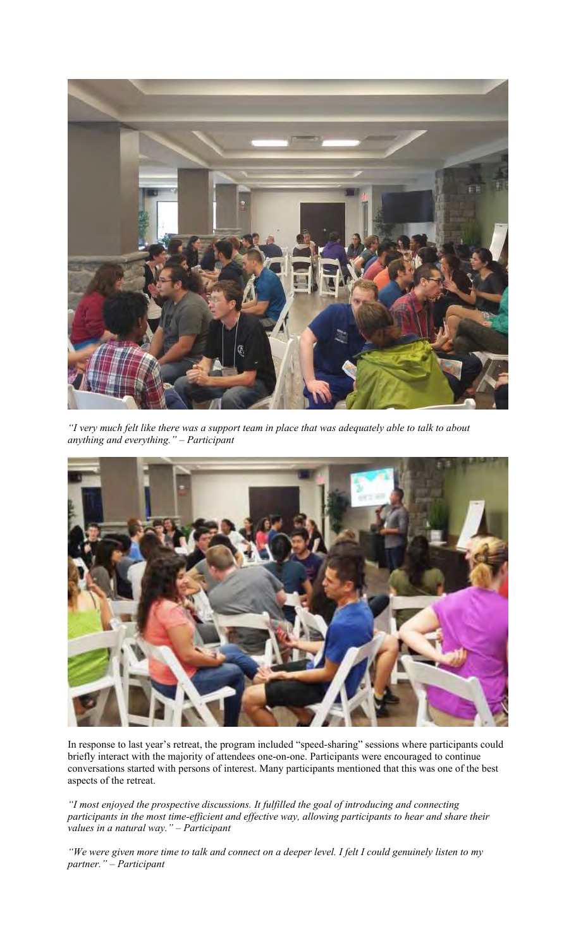

*"I very much felt like there was a support team in place that was adequately able to talk to about anything and everything." – Participant*



In response to last year's retreat, the program included "speed-sharing" sessions where participants could briefly interact with the majority of attendees one-on-one. Participants were encouraged to continue conversations started with persons of interest. Many participants mentioned that this was one of the best aspects of the retreat.

*"I most enjoyed the prospective discussions. It fulfilled the goal of introducing and connecting participants in the most time-efficient and effective way, allowing participants to hear and share their values in a natural way." – Participant*

*"We were given more time to talk and connect on a deeper level. I felt I could genuinely listen to my partner." – Participant*